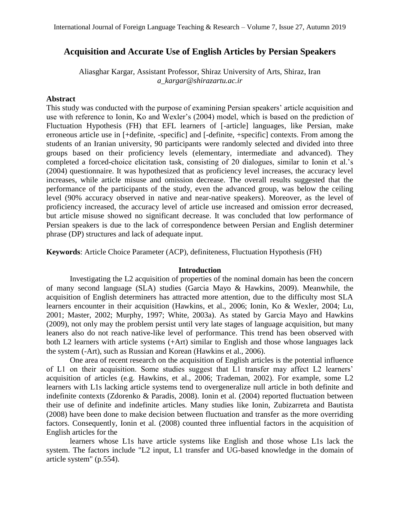# **Acquisition and Accurate Use of English Articles by Persian Speakers**

Aliasghar Kargar, Assistant Professor, Shiraz University of Arts, Shiraz, Iran *[a\\_kargar@shirazartu.ac.ir](mailto:a_kargar@shirazartu.ac.ir)*

# **Abstract**

This study was conducted with the purpose of examining Persian speakers' article acquisition and use with reference to Ionin, Ko and Wexler's (2004) model, which is based on the prediction of Fluctuation Hypothesis (FH) that EFL learners of [-article] languages, like Persian, make erroneous article use in [+definite, -specific] and [-definite, +specific] contexts. From among the students of an Iranian university, 90 participants were randomly selected and divided into three groups based on their proficiency levels (elementary, intermediate and advanced). They completed a forced-choice elicitation task, consisting of 20 dialogues, similar to Ionin et al.'s (2004) questionnaire. It was hypothesized that as proficiency level increases, the accuracy level increases, while article misuse and omission decrease. The overall results suggested that the performance of the participants of the study, even the advanced group, was below the ceiling level (90% accuracy observed in native and near-native speakers). Moreover, as the level of proficiency increased, the accuracy level of article use increased and omission error decreased, but article misuse showed no significant decrease. It was concluded that low performance of Persian speakers is due to the lack of correspondence between Persian and English determiner phrase (DP) structures and lack of adequate input.

**Keywords**: Article Choice Parameter (ACP), definiteness, Fluctuation Hypothesis (FH)

# **Introduction**

Investigating the L2 acquisition of properties of the nominal domain has been the concern of many second language (SLA) studies (Garcia Mayo & Hawkins, 2009). Meanwhile, the acquisition of English determiners has attracted more attention, due to the difficulty most SLA learners encounter in their acquisition (Hawkins, et al., 2006; Ionin, Ko & Wexler, 2004; Lu, 2001; Master, 2002; Murphy, 1997; White, 2003a). As stated by Garcia Mayo and Hawkins (2009), not only may the problem persist until very late stages of language acquisition, but many leaners also do not reach native-like level of performance. This trend has been observed with both L2 learners with article systems (+Art) similar to English and those whose languages lack the system (-Art), such as Russian and Korean (Hawkins et al., 2006).

One area of recent research on the acquisition of English articles is the potential influence of L1 on their acquisition. Some studies suggest that L1 transfer may affect L2 learners' acquisition of articles (e.g. Hawkins, et al., 2006; Trademan, 2002). For example, some L2 learners with L1s lacking article systems tend to overgeneralize null article in both definite and indefinite contexts (Zdorenko & Paradis, 2008). Ionin et al. (2004) reported fluctuation between their use of definite and indefinite articles. Many studies like Ionin, Zubizarreta and Bautista (2008) have been done to make decision between fluctuation and transfer as the more overriding factors. Consequently, Ionin et al. (2008) counted three influential factors in the acquisition of English articles for the

learners whose L1s have article systems like English and those whose L1s lack the system. The factors include "L2 input, L1 transfer and UG-based knowledge in the domain of article system" (p.554).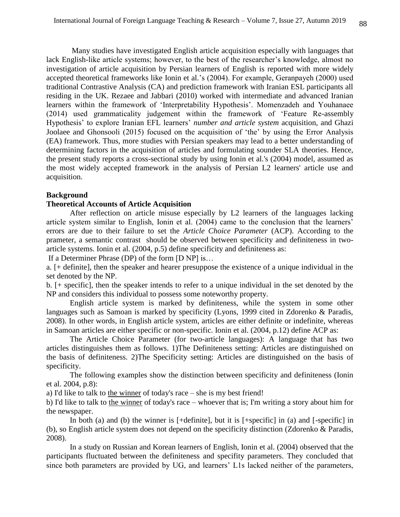Many studies have investigated English article acquisition especially with languages that lack English-like article systems; however, to the best of the researcher's knowledge, almost no investigation of article acquisition by Persian learners of English is reported with more widely accepted theoretical frameworks like Ionin et al.'s (2004). For example, Geranpayeh (2000) used traditional Contrastive Analysis (CA) and prediction framework with Iranian ESL participants all residing in the UK. Rezaee and Jabbari (2010) worked with intermediate and advanced Iranian learners within the framework of 'Interpretability Hypothesis'. Momenzadeh and Youhanaee (2014) used grammaticality judgement within the framework of 'Feature Re-assembly Hypothesis' to explore Iranian EFL learners' *number and article system* acquisition, and Ghazi Joolaee and Ghonsooli (2015) focused on the acquisition of 'the' by using the Error Analysis (EA) framework. Thus, more studies with Persian speakers may lead to a better understanding of determining factors in the acquisition of articles and formulating sounder SLA theories. Hence, the present study reports a cross-sectional study by using Ionin et al.'s (2004) model, assumed as the most widely accepted framework in the analysis of Persian L2 learners' article use and acquisition.

# **Background**

## **Theoretical Accounts of Article Acquisition**

After reflection on article misuse especially by L2 learners of the languages lacking article system similar to English, Ionin et al. (2004) came to the conclusion that the learners' errors are due to their failure to set the *Article Choice Parameter* (ACP). According to the prameter, a semantic contrast should be observed between specificity and definiteness in twoarticle systems. Ionin et al. (2004, p.5) define specificity and definiteness as:

If a Determiner Phrase (DP) of the form [D NP] is…

a. [+ definite], then the speaker and hearer presuppose the existence of a unique individual in the set denoted by the NP.

b. [+ specific], then the speaker intends to refer to a unique individual in the set denoted by the NP and considers this individual to possess some noteworthy property.

English article system is marked by definiteness, while the system in some other languages such as Samoan is marked by specificity (Lyons, 1999 cited in Zdorenko & Paradis, 2008). In other words, in English article system, articles are either definite or indefinite, whereas in Samoan articles are either specific or non-specific. Ionin et al. (2004, p.12) define ACP as:

The Article Choice Parameter (for two-article languages): A language that has two articles distinguishes them as follows. 1)The Definiteness setting: Articles are distinguished on the basis of definiteness. 2)The Specificity setting: Articles are distinguished on the basis of specificity.

The following examples show the distinction between specificity and definiteness (Ionin et al. 2004, p.8):

a) I'd like to talk to the winner of today's race – she is my best friend!

b) I'd like to talk to the winner of today's race – whoever that is; I'm writing a story about him for the newspaper.

In both (a) and (b) the winner is [+definite], but it is [+specific] in (a) and [-specific] in (b), so English article system does not depend on the specificity distinction (Zdorenko & Paradis, 2008).

 In a study on Russian and Korean learners of English, Ionin et al. (2004) observed that the participants fluctuated between the definiteness and specifity parameters. They concluded that since both parameters are provided by UG, and learners' L1s lacked neither of the parameters,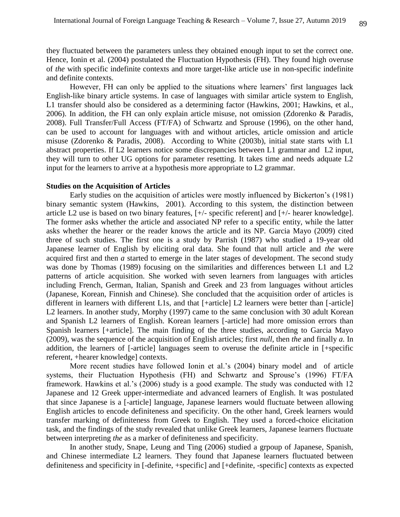they fluctuated between the parameters unless they obtained enough input to set the correct one. Hence, Ionin et al. (2004) postulated the Fluctuation Hypothesis (FH). They found high overuse of *the* with specific indefinite contexts and more target-like article use in non-specific indefinite and definite contexts.

 However, FH can only be applied to the situations where learners' first languages lack English-like binary article systems. In case of languages with similar article system to English, L1 transfer should also be considered as a determining factor (Hawkins, 2001; Hawkins, et al., 2006). In addition, the FH can only explain article misuse, not omission (Zdorenko & Paradis, 2008). Full Transfer/Full Access (FT/FA) of Schwartz and Sprouse (1996), on the other hand, can be used to account for languages with and without articles, article omission and article misuse (Zdorenko & Paradis, 2008). According to White (2003b), initial state starts with L1 abstract properties. If L2 learners notice some discrepancies between L1 grammar and L2 input, they will turn to other UG options for parameter resetting. It takes time and needs adquate L2 input for the learners to arrive at a hypothesis more appropriate to L2 grammar.

#### **Studies on the Acquisition of Articles**

Early studies on the acquisition of articles were mostly influenced by Bickerton's (1981) binary semantic system (Hawkins, 2001). According to this system, the distinction between article L2 use is based on two binary features, [+/- specific referent] and [+/- hearer knowledge]. The former asks whether the article and associated NP refer to a specific entity, while the latter asks whether the hearer or the reader knows the article and its NP. Garcia Mayo (2009) cited three of such studies. The first one is a study by Parrish (1987) who studied a 19-year old Japanese learner of English by eliciting oral data. She found that null article and *the* were acquired first and then *a* started to emerge in the later stages of development. The second study was done by Thomas (1989) focusing on the similarities and differences between L1 and L2 patterns of article acquisition. She worked with seven learners from languages with articles including French, German, Italian, Spanish and Greek and 23 from languages without articles (Japanese, Korean, Finnish and Chinese). She concluded that the acquisition order of articles is different in learners with different L1s, and that [+article] L2 learners were better than [-article] L2 learners. In another study, Morphy (1997) came to the same conclusion with 30 adult Korean and Spanish L2 learners of English. Korean learners [-article] had more omission errors than Spanish learners [+article]. The main finding of the three studies, according to Garcia Mayo (2009), was the sequence of the acquisition of English articles; first *null*, then *the* and finally *a.* In addition, the learners of [-article] languages seem to overuse the definite article in [+specific referent, +hearer knowledge] contexts.

 More recent studies have followed Ionin et al.'s (2004) binary model and of article systems, their Fluctuation Hypothesis (FH) and Schwartz and Sprouse's (1996) FT/FA framework. Hawkins et al.'s (2006) study is a good example. The study was conducted with 12 Japanese and 12 Greek upper-intermediate and advanced learners of English. It was postulated that since Japanese is a [-article] language, Japanese learners would fluctuate between allowing English articles to encode definiteness and specificity. On the other hand, Greek learners would transfer marking of definiteness from Greek to English. They used a forced-choice elicitation task, and the findings of the study revealed that unlike Greek learners, Japanese learners fluctuate between interpreting *the* as a marker of definiteness and specificity.

 In another study, Snape, Leung and Ting (2006) studied a grpoup of Japanese, Spanish, and Chinese intermediate L2 learners. They found that Japanese learners fluctuated between definiteness and specificity in [-definite, +specific] and [+definite, -specific] contexts as expected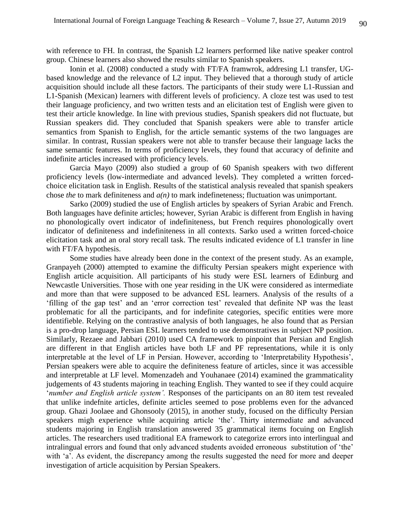with reference to FH. In contrast, the Spanish L2 learners performed like native speaker control group. Chinese learners also showed the results similar to Spanish speakers.

 Ionin et al. (2008) conducted a study with FT/FA framwrok, addresing L1 transfer, UGbased knowledge and the relevance of L2 input. They believed that a thorough study of article acquisition should include all these factors. The participants of their study were L1-Russian and L1-Spanish (Mexican) learners with different levels of proficiency. A cloze test was used to test their language proficiency, and two written tests and an elicitation test of English were given to test their article knowledge. In line with previous studies, Spanish speakers did not fluctuate, but Russian speakers did. They concluded that Spanish speakers were able to transfer article semantics from Spanish to English, for the article semantic systems of the two languages are similar. In contrast, Russian speakers were not able to transfer because their language lacks the same semantic features. In terms of proficiency levels, they found that accuracy of definite and indefinite articles increased with proficiency levels.

 Garcia Mayo (2009) also studied a group of 60 Spanish speakers with two different proficiency levels (low-intermediate and advanced levels). They completed a written forcedchoice elicitation task in English. Results of the statistical analysis revealed that spanish speakers chose *the* to mark definiteness and *a(n)* to mark indefineteness; fluctuation was unimportant.

 Sarko (2009) studied the use of English articles by speakers of Syrian Arabic and French. Both languages have definite articles; however, Syrian Arabic is different from English in having no phonologically overt indicator of indefiniteness, but French requires phonologically overt indicator of definiteness and indefiniteness in all contexts. Sarko used a written forced-choice elicitation task and an oral story recall task. The results indicated evidence of L1 transfer in line with FT/FA hypothesis.

 Some studies have already been done in the context of the present study. As an example, Granpayeh (2000) attempted to examine the difficulty Persian speakers might experience with English article acquisition. All participants of his study were ESL learners of Edinburg and Newcastle Universities. Those with one year residing in the UK were considered as intermediate and more than that were supposed to be advanced ESL learners. Analysis of the results of a 'filling of the gap test' and an 'error correction test' revealed that definite NP was the least problematic for all the participants, and for indefinite categories, specific entities were more identifieble. Relying on the contrastive analysis of both languages, he also found that as Persian is a pro-drop language, Persian ESL learners tended to use demonstratives in subject NP position. Similarly, Rezaee and Jabbari (2010) used CA framework to pinpoint that Persian and English are different in that English articles have both LF and PF representations, while it is only interpretable at the level of LF in Persian. However, according to 'Interpretability Hypothesis', Persian speakers were able to acquire the definiteness feature of articles, since it was accessible and interpretable at LF level. Momenzadeh and Youhanaee (2014) examined the grammaticality judgements of 43 students majoring in teaching English. They wanted to see if they could acquire '*number and English article system'.* Responses of the participants on an 80 item test revealed that unlike indefnite articles, definite articles seemed to pose problems even for the advanced group. Ghazi Joolaee and Ghonsooly (2015), in another study, focused on the difficulty Persian speakers migh experience while acquiring article 'the'. Thirty intermediate and advanced students majoring in English translation answered 35 grammatical items focuing on English articles. The researchers used traditional EA framework to categorize errors into interlingual and intralingual errors and found that only advanced students avoided erroneous substitution of 'the' with 'a'. As evident, the discrepancy among the results suggested the need for more and deeper investigation of article acquisition by Persian Speakers.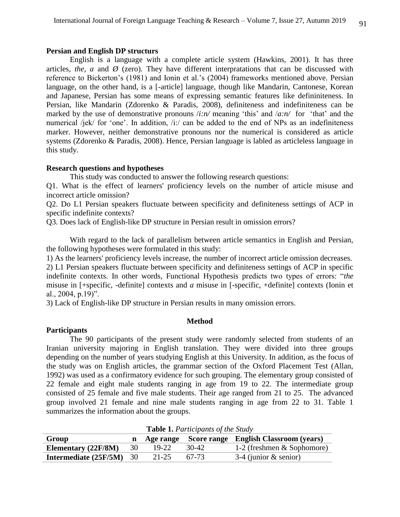## **Persian and English DP structurs**

English is a language with a complete article system (Hawkins, 2001). It has three articles, *the, a* and  $\emptyset$  (zero). They have different interpratations that can be discussed with reference to Bickerton's (1981) and Ionin et al.'s (2004) frameworks mentioned above. Persian language, on the other hand, is a [-article] language, though like Mandarin, Cantonese, Korean and Japanese, Persian has some means of expressing semantic features like defininiteness. In Persian, like Mandarin (Zdorenko & Paradis, 2008), definiteness and indefiniteness can be marked by the use of demonstrative pronouns /*i:n*/ meaning 'this' and /*a:n*/ for 'that' and the numerical /jek/ for 'one'. In addition, /i:/ can be added to the end of NPs as an indefiniteness marker. However, neither demonstrative pronouns nor the numerical is considered as article systems (Zdorenko & Paradis, 2008). Hence, Persian language is labled as articleless language in this study.

### **Research questions and hypotheses**

This study was conducted to answer the following research questions:

Q1. What is the effect of learners' proficiency levels on the number of article misuse and incorrect article omission?

Q2. Do L1 Persian speakers fluctuate between specificity and definiteness settings of ACP in specific indefinite contexts?

Q3. Does lack of English-like DP structure in Persian result in omission errors?

 With regard to the lack of parallelism between article semantics in English and Persian, the following hypotheses were formulated in this study:

1) As the learners' proficiency levels increase, the number of incorrect article omission decreases.

2) L1 Persian speakers fluctuate between specificity and definiteness settings of ACP in specific indefinite contexts. In other words, Functional Hypothesis predicts two types of errors: "*the*  misuse in [+specific, -definite] contexts and *a* misuse in [-specific, +definite] contexts (Ionin et al., 2004, p.19)".

3) Lack of English-like DP structure in Persian results in many omission errors.

### **Method**

#### **Participants**

The 90 participants of the present study were randomly selected from students of an Iranian university majoring in English translation. They were divided into three groups depending on the number of years studying English at this University. In addition, as the focus of the study was on English articles, the grammar section of the Oxford Placement Test (Allan, 1992) was used as a confirmatory evidence for such grouping. The elementary group consisted of 22 female and eight male students ranging in age from 19 to 22. The intermediate group consisted of 25 female and five male students. Their age ranged from 21 to 25. The advanced group involved 21 female and nine male students ranging in age from 22 to 31. Table 1 summarizes the information about the groups.

| <b>Table 1.</b> Participants of the Study    |    |       |       |                                                   |  |  |  |  |  |
|----------------------------------------------|----|-------|-------|---------------------------------------------------|--|--|--|--|--|
| Group                                        |    |       |       | n Age range Score range English Classroom (years) |  |  |  |  |  |
| <b>Elementary (22F/8M)</b>                   | 30 | 19-22 | 30-42 | 1-2 (freshmen $&$ Sophomore)                      |  |  |  |  |  |
| <b>Intermediate <math>(25F/5M)</math></b> 30 |    | 21-25 | 67-73 | $3-4$ (junior & senior)                           |  |  |  |  |  |

**Table 1.** *Participants of the Study*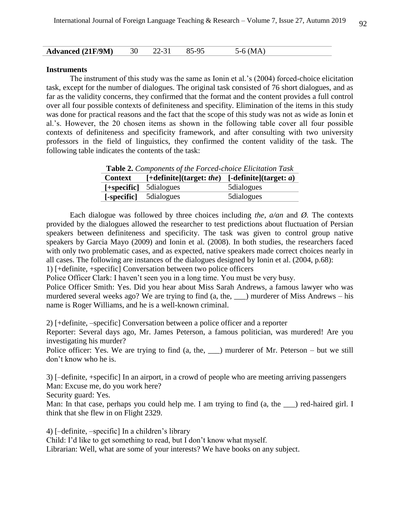| <b>Advanced</b> (21F/9M) | 30 | 22-31 | 85-95 | 5-6 (MA) |
|--------------------------|----|-------|-------|----------|

### **Instruments**

The instrument of this study was the same as Ionin et al.'s (2004) forced-choice elicitation task, except for the number of dialogues. The original task consisted of 76 short dialogues, and as far as the validity concerns, they confirmed that the format and the content provides a full control over all four possible contexts of definiteness and specifity. Elimination of the items in this study was done for practical reasons and the fact that the scope of this study was not as wide as Ionin et al.'s. However, the 20 chosen items as shown in the following table cover all four possible contexts of definiteness and specificity framework, and after consulting with two university professors in the field of linguistics, they confirmed the content validity of the task. The following table indicates the contents of the task:

| Table 2. Components of the Forced-choice Elicitation Task |                                                     |            |  |  |  |  |
|-----------------------------------------------------------|-----------------------------------------------------|------------|--|--|--|--|
| <b>Context</b>                                            | $[+definite](target: the)$ $[-definite](target: a)$ |            |  |  |  |  |
| $[+specific]$                                             | 5 dialogues                                         | 5dialogues |  |  |  |  |
|                                                           | [-specific] 5dialogues                              | 5dialogues |  |  |  |  |

 Each dialogue was followed by three choices including *the, a/an* and *Ø.* The contexts provided by the dialogues allowed the researcher to test predictions about fluctuation of Persian speakers between definiteness and specificity. The task was given to control group native speakers by Garcia Mayo (2009) and Ionin et al. (2008). In both studies, the researchers faced with only two problematic cases, and as expected, native speakers made correct choices nearly in all cases. The following are instances of the dialogues designed by Ionin et al. (2004, p.68):

1) [+definite, +specific] Conversation between two police officers

Police Officer Clark: I haven't seen you in a long time. You must be very busy.

Police Officer Smith: Yes. Did you hear about Miss Sarah Andrews, a famous lawyer who was murdered several weeks ago? We are trying to find (a, the,  $\Box$ ) murderer of Miss Andrews – his name is Roger Williams, and he is a well-known criminal.

2) [+definite, –specific] Conversation between a police officer and a reporter

Reporter: Several days ago, Mr. James Peterson, a famous politician, was murdered! Are you investigating his murder?

Police officer: Yes. We are trying to find (a, the,  $\Box$ ) murderer of Mr. Peterson – but we still don't know who he is.

3) [–definite, +specific] In an airport, in a crowd of people who are meeting arriving passengers Man: Excuse me, do you work here?

Security guard: Yes.

Man: In that case, perhaps you could help me. I am trying to find (a, the  $\Box$ ) red-haired girl. I think that she flew in on Flight 2329.

4) [–definite, –specific] In a children's library

Child: I'd like to get something to read, but I don't know what myself.

Librarian: Well, what are some of your interests? We have books on any subject.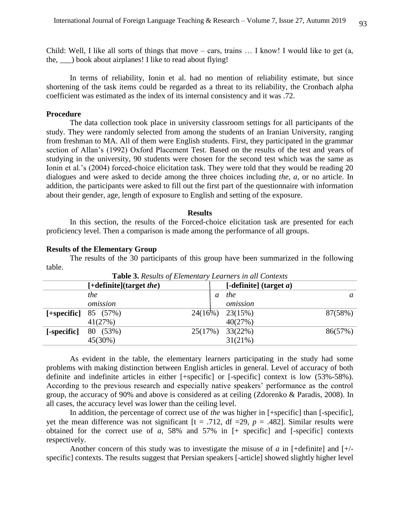Child: Well, I like all sorts of things that move – cars, trains  $\ldots$  I know! I would like to get (a, the, book about airplanes! I like to read about flying!

 In terms of reliability, Ionin et al. had no mention of reliability estimate, but since shortening of the task items could be regarded as a threat to its reliability, the Cronbach alpha coefficient was estimated as the index of its internal consistency and it was .72.

#### **Procedure**

The data collection took place in university classroom settings for all participants of the study. They were randomly selected from among the students of an Iranian University, ranging from freshman to MA. All of them were English students. First, they participated in the grammar section of Allan's (1992) Oxford Placement Test. Based on the results of the test and years of studying in the university, 90 students were chosen for the second test which was the same as Ionin et al.'s (2004) forced-choice elicitation task. They were told that they would be reading 20 dialogues and were asked to decide among the three choices including *the, a,* or no article. In addition, the participants were asked to fill out the first part of the questionnaire with information about their gender, age, length of exposure to English and setting of the exposure.

#### **Results**

In this section, the results of the Forced-choice elicitation task are presented for each proficiency level. Then a comparison is made among the performance of all groups.

#### **Results of the Elementary Group**

The results of the 30 participants of this group have been summarized in the following table.

|               | <b>Lable 5.</b> Results of Elementary Learners in all Contexts |         |   |                                  |         |
|---------------|----------------------------------------------------------------|---------|---|----------------------------------|---------|
|               | $[+definite](target the)$                                      |         |   | $[-definite]$ (target <i>a</i> ) |         |
|               | the                                                            |         | a | the                              | a       |
|               | omission                                                       |         |   | omission                         |         |
| $[+specific]$ | 85 (57%)                                                       | 24(16%) |   | 23(15%)                          | 87(58%) |
|               | 41(27%)                                                        |         |   | 40(27%)                          |         |
| [-specific]   | 80 (53%)                                                       | 25(17%) |   | 33(22%)                          | 86(57%) |
|               | $45(30\%)$                                                     |         |   | 31(21%)                          |         |

**Table 3.** *Results of Elementary Learners in all Contexts*

As evident in the table, the elementary learners participating in the study had some problems with making distinction between English articles in general. Level of accuracy of both definite and indefinite articles in either [+specific] or [-specific] context is low (53%-58%). According to the previous research and especially native speakers' performance as the control group, the accuracy of 90% and above is considered as at ceiling (Zdorenko & Paradis, 2008). In all cases, the accuracy level was lower than the ceiling level.

 In addition, the percentage of correct use of *the* was higher in [+specific] than [-specific], yet the mean difference was not significant  $[t = .712, df = 29, p = .482]$ . Similar results were obtained for the correct use of *a,* 58% and 57% in [+ specific] and [-specific] contexts respectively.

 Another concern of this study was to investigate the misuse of *a* in [+definite] and [+/ specific] contexts. The results suggest that Persian speakers [-article] showed slightly higher level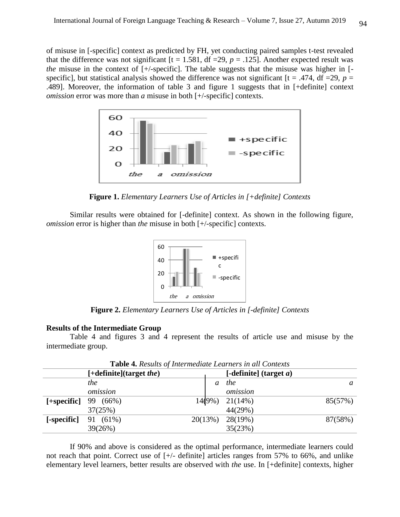of misuse in [-specific] context as predicted by FH, yet conducting paired samples t-test revealed that the difference was not significant  $[t = 1.581, df = 29, p = .125]$ . Another expected result was *the* misuse in the context of [+/-specific]. The table suggests that the misuse was higher in [specific], but statistical analysis showed the difference was not significant  $[t = .474, df = 29, p =$ .489]. Moreover, the information of table 3 and figure 1 suggests that in [+definite] context *omission* error was more than *a* misuse in both [+/-specific] contexts.



**Figure 1.** *Elementary Learners Use of Articles in [+definite] Contexts*

Similar results were obtained for [-definite] context. As shown in the following figure, *omission* error is higher than *the* misuse in both [+/-specific] contexts.



**Figure 2.** *Elementary Learners Use of Articles in [-definite] Contexts*

## **Results of the Intermediate Group**

Table 4 and figures 3 and 4 represent the results of article use and misuse by the intermediate group.

|               | <b>Table 4.</b> Results of Intermediate Learners in all Contexts |               |                           |         |  |  |  |  |
|---------------|------------------------------------------------------------------|---------------|---------------------------|---------|--|--|--|--|
|               | $[+definite](target the)$                                        |               | [-definite] $\arctan a$ ] |         |  |  |  |  |
|               | the                                                              | $\mathfrak a$ | the                       | a       |  |  |  |  |
|               | omission                                                         |               | omission                  |         |  |  |  |  |
| $[+specific]$ | 99<br>$(66\%)$                                                   | 14(9%)        | $21(14\%)$                | 85(57%) |  |  |  |  |
|               | 37(25%)                                                          |               | 44(29%)                   |         |  |  |  |  |
| [-specific]   | 91 (61%)                                                         | 20(13%)       | 28(19%)                   | 87(58%) |  |  |  |  |
|               | 39(26%)                                                          |               | 35(23%)                   |         |  |  |  |  |

**Table 4.** *Results of Intermediate Learners in all Contexts*

If 90% and above is considered as the optimal performance, intermediate learners could not reach that point. Correct use of [+/- definite] articles ranges from 57% to 66%, and unlike elementary level learners, better results are observed with *the* use. In [+definite] contexts, higher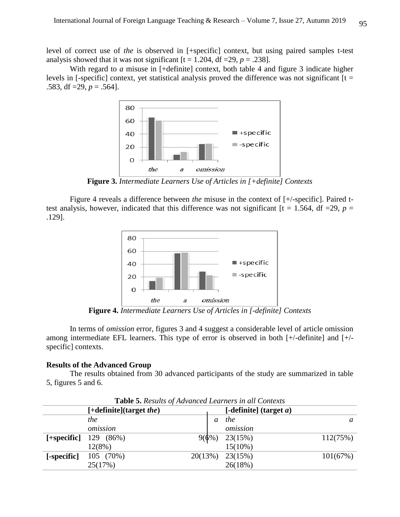level of correct use of *the* is observed in [+specific] context, but using paired samples t-test analysis showed that it was not significant  $[t = 1.204, df = 29, p = .238]$ .

With regard to *a* misuse in [+definite] context, both table 4 and figure 3 indicate higher levels in [-specific] context, yet statistical analysis proved the difference was not significant  $[t =$ .583, df = 29,  $p = .564$ ].



**Figure 3.** *Intermediate Learners Use of Articles in [+definite] Contexts*

Figure 4 reveals a difference between *the* misuse in the context of [+/-specific]. Paired ttest analysis, however, indicated that this difference was not significant  $[t = 1.564, df = 29, p =$ .129].



**Figure 4.** *Intermediate Learners Use of Articles in [-definite] Contexts*

In terms of *omission* error, figures 3 and 4 suggest a considerable level of article omission among intermediate EFL learners. This type of error is observed in both [+/-definite] and [+/ specific] contexts.

## **Results of the Advanced Group**

The results obtained from 30 advanced participants of the study are summarized in table 5, figures 5 and 6.

|               | $[+definite](target the)$ |               | $\left[ -definite \right]$ (target a) |          |
|---------------|---------------------------|---------------|---------------------------------------|----------|
|               | the                       | $\mathfrak a$ | the                                   | a        |
|               | omission                  |               | omission                              |          |
| $[+specific]$ | 129 (86%)                 | 9(6%)         | 23(15%)                               | 112(75%) |
|               | 12(8%)                    |               | $15(10\%)$                            |          |
| [-specific]   | 105 (70%)                 | 20(13%)       | 23(15%)                               | 101(67%) |
|               | 25(17%)                   |               | 26(18%)                               |          |

**Table 5.** *Results of Advanced Learners in all Contexts*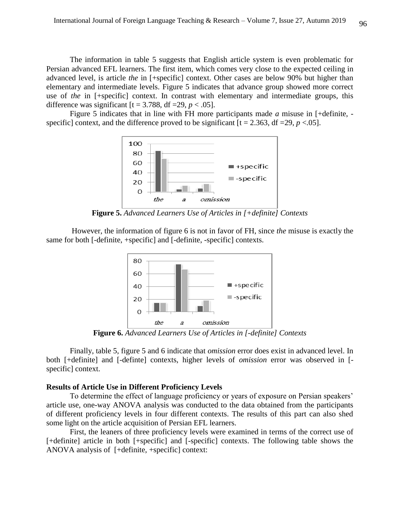The information in table 5 suggests that English article system is even problematic for Persian advanced EFL learners. The first item, which comes very close to the expected ceiling in advanced level, is article *the* in [+specific] context. Other cases are below 90% but higher than elementary and intermediate levels. Figure 5 indicates that advance group showed more correct use of *the* in [+specific] context. In contrast with elementary and intermediate groups, this difference was significant  $[t = 3.788, df = 29, p < .05]$ .

 Figure 5 indicates that in line with FH more participants made *a* misuse in [+definite, specific] context, and the difference proved to be significant  $[t = 2.363, df = 29, p < .05]$ .



**Figure 5.** *Advanced Learners Use of Articles in [+definite] Contexts*

However, the information of figure 6 is not in favor of FH, since *the* misuse is exactly the same for both [-definite, +specific] and [-definite, -specific] contexts.



**Figure 6.** *Advanced Learners Use of Articles in [-definite] Contexts*

Finally, table 5, figure 5 and 6 indicate that *omission* error does exist in advanced level. In both [+definite] and [-definte] contexts, higher levels of *omission* error was observed in [ specific] context.

## **Results of Article Use in Different Proficiency Levels**

To determine the effect of language proficiency or years of exposure on Persian speakers' article use, one-way ANOVA analysis was conducted to the data obtained from the participants of different proficiency levels in four different contexts. The results of this part can also shed some light on the article acquisition of Persian EFL learners.

 First, the leaners of three proficiency levels were examined in terms of the correct use of [+definite] article in both [+specific] and [-specific] contexts. The following table shows the ANOVA analysis of [+definite, +specific] context: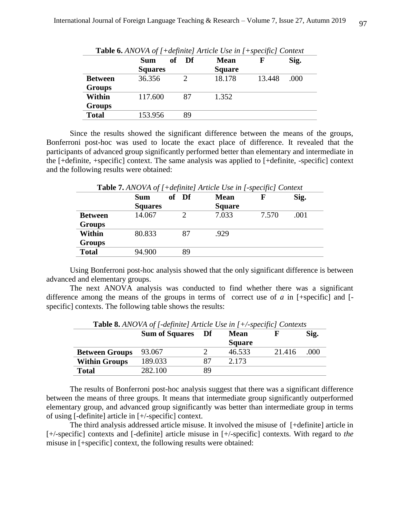|                | <b>Table 0.</b> AINOVA of [+aefinite] Article Use in $[+$ specific] Context |    |               |        |      |
|----------------|-----------------------------------------------------------------------------|----|---------------|--------|------|
|                | Sum<br>оf                                                                   | Df | <b>Mean</b>   |        | Sig. |
|                | <b>Squares</b>                                                              |    | <b>Square</b> |        |      |
| <b>Between</b> | 36.356                                                                      |    | 18.178        | 13.448 | .000 |
| <b>Groups</b>  |                                                                             |    |               |        |      |
| Within         | 117.600                                                                     | 87 | 1.352         |        |      |
| <b>Groups</b>  |                                                                             |    |               |        |      |
| <b>Total</b>   | 153.956                                                                     | 89 |               |        |      |
|                |                                                                             |    |               |        |      |

**Table 6.** *ANOVA of [+definite] Article Use in [+specific] Context*

Since the results showed the significant difference between the means of the groups, Bonferroni post-hoc was used to locate the exact place of difference. It revealed that the participants of advanced group significantly performed better than elementary and intermediate in the [+definite, +specific] context. The same analysis was applied to [+definite, -specific] context and the following results were obtained:

| <b>Table 7.</b> ANOVA of [+definite] Article Use in [-specific] Context |                |       |               |       |      |  |  |  |
|-------------------------------------------------------------------------|----------------|-------|---------------|-------|------|--|--|--|
|                                                                         | Sum            | of Df | <b>Mean</b>   | F     | Sig. |  |  |  |
|                                                                         | <b>Squares</b> |       | <b>Square</b> |       |      |  |  |  |
| <b>Between</b>                                                          | 14.067         | ∍     | 7.033         | 7.570 | .001 |  |  |  |
| <b>Groups</b>                                                           |                |       |               |       |      |  |  |  |
| <b>Within</b>                                                           | 80.833         | 87    | .929          |       |      |  |  |  |
| <b>Groups</b>                                                           |                |       |               |       |      |  |  |  |
| <b>Total</b>                                                            | 94.900         | 89    |               |       |      |  |  |  |
|                                                                         |                |       |               |       |      |  |  |  |

Using Bonferroni post-hoc analysis showed that the only significant difference is between advanced and elementary groups.

 The next ANOVA analysis was conducted to find whether there was a significant difference among the means of the groups in terms of correct use of *a* in [+specific] and [specific] contexts. The following table shows the results:

| <b>Table 0.</b> Thro VIT of f acjuillef in the c'use in f 17 specific f contexts |                          |    |               |        |      |  |  |  |
|----------------------------------------------------------------------------------|--------------------------|----|---------------|--------|------|--|--|--|
|                                                                                  | <b>Sum of Squares</b> Df |    | <b>Mean</b>   |        | Sig. |  |  |  |
|                                                                                  |                          |    | <b>Square</b> |        |      |  |  |  |
| <b>Between Groups</b>                                                            | 93.067                   |    | 46.533        | 21.416 | .000 |  |  |  |
| <b>Within Groups</b>                                                             | 189.033                  | 87 | 2.173         |        |      |  |  |  |
| <b>Total</b>                                                                     | 282.100                  | 89 |               |        |      |  |  |  |

**Table 8.** *ANOVA of [-definite] Article Use in [+/-specific] Contexts*

The results of Bonferroni post-hoc analysis suggest that there was a significant difference between the means of three groups. It means that intermediate group significantly outperformed elementary group, and advanced group significantly was better than intermediate group in terms of using [-definite] article in [+/-specific] context.

 The third analysis addressed article misuse. It involved the misuse of [+definite] article in [+/-specific] contexts and [-definite] article misuse in [+/-specific] contexts. With regard to *the*  misuse in [+specific] context, the following results were obtained: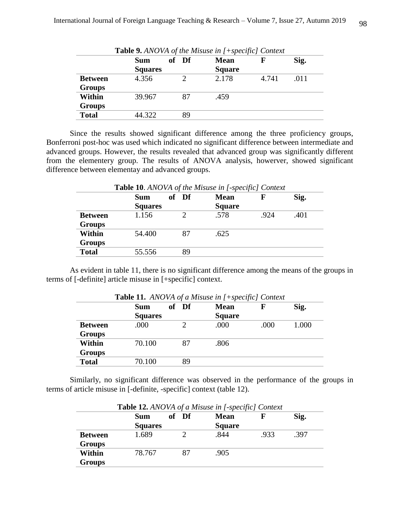|                                 | Sum<br><b>Squares</b> | of Df | Mean<br><b>Square</b> | F     | Sig. |
|---------------------------------|-----------------------|-------|-----------------------|-------|------|
| <b>Between</b><br><b>Groups</b> | 4.356                 |       | 2.178                 | 4.741 | .011 |
| Within<br><b>Groups</b>         | 39.967                | 87    | .459                  |       |      |
| <b>Total</b>                    | 44.322.               | 89    |                       |       |      |

Since the results showed significant difference among the three proficiency groups, Bonferroni post-hoc was used which indicated no significant difference between intermediate and advanced groups. However, the results revealed that advanced group was significantly different from the elementery group. The results of ANOVA analysis, howerver, showed significant difference between elementay and advanced groups.

| <b>Table 10.</b> ANOVA of the Misuse in [-specific] Context |                |  |       |               |      |      |  |  |
|-------------------------------------------------------------|----------------|--|-------|---------------|------|------|--|--|
|                                                             | Sum            |  | of Df | <b>Mean</b>   | F    | Sig. |  |  |
|                                                             | <b>Squares</b> |  |       | <b>Square</b> |      |      |  |  |
| <b>Between</b>                                              | 1.156          |  |       | .578          | -924 | .401 |  |  |
| <b>Groups</b>                                               |                |  |       |               |      |      |  |  |
| Within                                                      | 54.400         |  | 87    | .625          |      |      |  |  |
| <b>Groups</b>                                               |                |  |       |               |      |      |  |  |
| <b>Total</b>                                                | 55.556         |  | 89    |               |      |      |  |  |
|                                                             |                |  |       |               |      |      |  |  |

As evident in table 11, there is no significant difference among the means of the groups in terms of [-definite] article misuse in [+specific] context.

|                |                |       | <b>Lable 11.</b> Thro VII of a misuse in $\mu$ specific context |      |       |
|----------------|----------------|-------|-----------------------------------------------------------------|------|-------|
|                | Sum            | of Df | <b>Mean</b>                                                     | К    | Sig.  |
|                | <b>Squares</b> |       | <b>Square</b>                                                   |      |       |
| <b>Between</b> | .000           |       | .000                                                            | .000 | 1.000 |
| <b>Groups</b>  |                |       |                                                                 |      |       |
| <b>Within</b>  | 70.100         | 87    | .806                                                            |      |       |
| <b>Groups</b>  |                |       |                                                                 |      |       |
| <b>Total</b>   | 70.100         | 89    |                                                                 |      |       |
|                |                |       |                                                                 |      |       |

**Table 11.** *ANOVA of a Misuse in [+specific] Context*

Similarly, no significant difference was observed in the performance of the groups in terms of article misuse in [-definite, -specific] context (table 12).

| <b>Table 12.</b> ANOVA of a Misuse in [-specific] Context |                |       |               |      |      |  |  |
|-----------------------------------------------------------|----------------|-------|---------------|------|------|--|--|
|                                                           | <b>Sum</b>     | of Df | <b>Mean</b>   |      | Sig. |  |  |
|                                                           | <b>Squares</b> |       | <b>Square</b> |      |      |  |  |
| <b>Between</b>                                            | 1.689          |       | .844          | .933 | .397 |  |  |
| <b>Groups</b>                                             |                |       |               |      |      |  |  |
| Within                                                    | 78.767         |       | .905          |      |      |  |  |
| <b>Groups</b>                                             |                |       |               |      |      |  |  |

 $T_{\alpha}$ **ble 12.**  $AMOVA$  of a Misuse in  $\alpha$  specified  $C$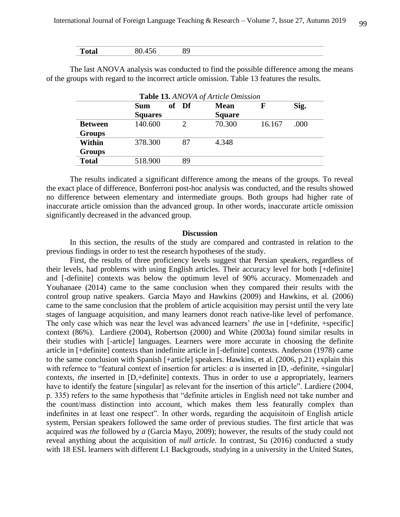| m<br>Total |  |  |  |
|------------|--|--|--|
|            |  |  |  |

 The last ANOVA analysis was conducted to find the possible difference among the means of the groups with regard to the incorrect article omission. Table 13 features the results.

| Table 13. ANOVA of Article Omission |                |  |       |               |        |      |  |  |
|-------------------------------------|----------------|--|-------|---------------|--------|------|--|--|
|                                     | Sum            |  | of Df | <b>Mean</b>   | F      | Sig. |  |  |
|                                     | <b>Squares</b> |  |       | <b>Square</b> |        |      |  |  |
| <b>Between</b>                      | 140.600        |  | ∍     | 70.300        | 16.167 | .000 |  |  |
| <b>Groups</b>                       |                |  |       |               |        |      |  |  |
| Within                              | 378.300        |  | 87    | 4.348         |        |      |  |  |
| <b>Groups</b>                       |                |  |       |               |        |      |  |  |
| <b>Total</b>                        | 518.900        |  | 89    |               |        |      |  |  |
|                                     |                |  |       |               |        |      |  |  |

The results indicated a significant difference among the means of the groups. To reveal the exact place of difference, Bonferroni post-hoc analysis was conducted, and the results showed no difference between elementary and intermediate groups. Both groups had higher rate of inaccurate article omission than the advanced group. In other words, inaccurate article omission significantly decreased in the advanced group.

#### **Discussion**

In this section, the results of the study are compared and contrasted in relation to the previous findings in order to test the research hypotheses of the study.

 First, the results of three proficiency levels suggest that Persian speakers, regardless of their levels, had problems with using English articles. Their accuracy level for both [+definite] and [-definite] contexts was below the optimum level of 90% accuracy. Momenzadeh and Youhanaee (2014) came to the same conclusion when they compared their results with the control group native speakers. Garcia Mayo and Hawkins (2009) and Hawkins, et al. (2006) came to the same conclusion that the problem of article acquisition may persist until the very late stages of language acquisition, and many learners donot reach native-like level of perfomance. The only case which was near the level was advanced learners' *the* use in [+definite, +specific] context (86%). Lardiere (2004), Robertson (2000) and White (2003a) found similar results in their studies with [-article] languages. Learners were more accurate in choosing the definite article in [+definite] contexts than indefinite article in [-definite] contexts. Anderson (1978) came to the same conclusion with Spanish [+article] speakers. Hawkins, et al. (2006, p.21) explain this with refernce to "featural context of insertion for articles: *a* is inserted in [D, -definite, +singular] contexts, *the* inserted in [D,+definite] contexts. Thus in order to use *a* appropriately, learners have to identify the feature [singular] as relevant for the insertion of this article". Lardiere (2004, p. 335) refers to the same hypothesis that "definite articles in English need not take number and the count/mass distinction into account, which makes them less featurally complex than indefinites in at least one respect". In other words, regarding the acquisitoin of English article system, Persian speakers followed the same order of previous studies. The first article that was acquired was *the* followed by *a* (Garcia Mayo, 2009); however, the results of the study could not reveal anything about the acquisition of *null article.* In contrast, Su (2016) conducted a study with 18 ESL learners with different L1 Backgrouds, studying in a university in the United States,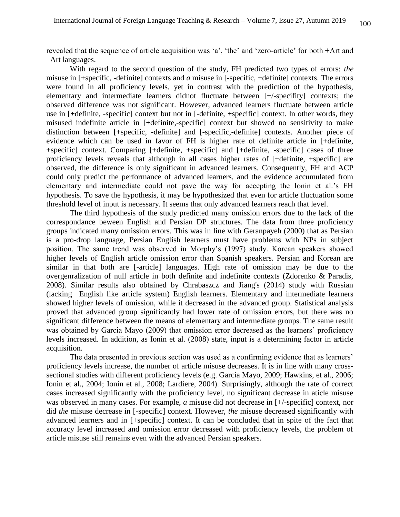revealed that the sequence of article acquisition was 'a', 'the' and 'zero-article' for both +Art and –Art languages.

 With regard to the second question of the study, FH predicted two types of errors: *the*  misuse in [+specific, -definite] contexts and *a* misuse in [-specific, +definite] contexts. The errors were found in all proficiency levels, yet in contrast with the prediction of the hypothesis, elementary and intermediate learners didnot fluctuate between [+/-specifity] contexts; the observed difference was not significant. However, advanced learners fluctuate between article use in [+definite, -specific] context but not in [-definite, +specific] context. In other words, they misused indefinite article in [+definite,-specific] context but showed no sensitivity to make distinction between [+specific, -definite] and [-specific,-definite] contexts. Another piece of evidence which can be used in favor of FH is higher rate of definite article in [+definite, +specific] context. Comparing [+definite, +specific] and [+definite, -specific] cases of three proficiency levels reveals that although in all cases higher rates of [+definite, +specific] are observed, the difference is only significant in advanced learners. Consequently, FH and ACP could only predict the performance of advanced learners, and the evidence accumulated from elementary and intermediate could not pave the way for accepting the Ionin et al.'s FH hypothesis. To save the hypothesis, it may be hypothesized that even for article fluctuation some threshold level of input is necessary. It seems that only advanced learners reach that level.

 The third hypothesis of the study predicted many omission errors due to the lack of the correspondance beween English and Persian DP structures. The data from three proficiency groups indicated many omission errors. This was in line with Geranpayeh (2000) that as Persian is a pro-drop language, Persian English learners must have problems with NPs in subject position. The same trend was observed in Morphy's (1997) study. Korean speakers showed higher levels of English article omission error than Spanish speakers. Persian and Korean are similar in that both are [-article] languages. High rate of omission may be due to the overgenralization of null article in both definite and indefinite contexts (Zdorenko & Paradis, 2008). Similar results also obtained by Chrabaszcz and Jiang's (2014) study with Russian (lacking English like article system) English learners. Elementary and intermediate learners showed higher levels of omission, while it decreased in the advanced group. Statistical analysis proved that advanced group significantly had lower rate of omission errors, but there was no significant difference between the means of elementary and intermediate groups. The same result was obtained by Garcia Mayo (2009) that omission error decreased as the learners' proficiency levels increased. In addition, as Ionin et al. (2008) state, input is a determining factor in article acquisition.

 The data presented in previous section was used as a confirming evidence that as learners' proficiency levels increase, the number of article misuse decreases. It is in line with many crosssectional studies with different proficiency levels (e.g. Garcia Mayo, 2009; Hawkins, et al., 2006; Ionin et al., 2004; Ionin et al., 2008; Lardiere, 2004). Surprisingly, although the rate of correct cases increased significantly with the proficiency level, no significant decrease in aticle misuse was observed in many cases. For example, *a* misuse did not decrease in [+/-specific] context, nor did *the* misuse decrease in [-specific] context. However, *the* misuse decreased significantly with advanced learners and in [+specific] context. It can be concluded that in spite of the fact that accuracy level increased and omission error decreased with proficiency levels, the problem of article misuse still remains even with the advanced Persian speakers.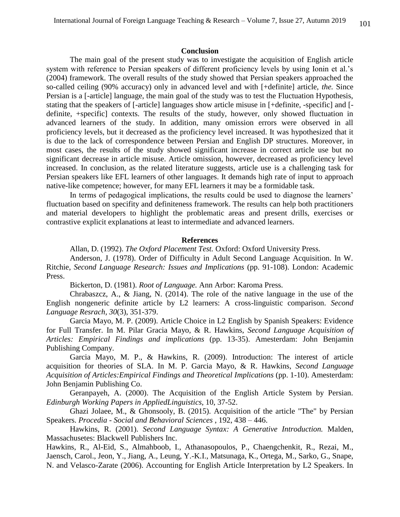#### **Conclusion**

The main goal of the present study was to investigate the acquisition of English article system with reference to Persian speakers of different proficiency levels by using Ionin et al.'s (2004) framework. The overall results of the study showed that Persian speakers approached the so-called ceiling (90% accuracy) only in advanced level and with [+definite] article, *the.* Since Persian is a [-article] language, the main goal of the study was to test the Fluctuation Hypothesis, stating that the speakers of [-article] languages show article misuse in [+definite, -specific] and [ definite, +specific] contexts. The results of the study, however, only showed fluctuation in advanced learners of the study. In addition, many omission errors were observed in all proficiency levels, but it decreased as the proficiency level increased. It was hypothesized that it is due to the lack of correspondence between Persian and English DP structures. Moreover, in most cases, the results of the study showed significant increase in correct article use but no significant decrease in article misuse. Article omission, however, decreased as proficiency level increased. In conclusion, as the related literature suggests, article use is a challenging task for Persian speakers like EFL learners of other languages. It demands high rate of input to approach native-like competence; however, for many EFL learners it may be a formidable task.

 In terms of pedagogical implications, the results could be used to diagnose the learners' fluctuation based on specifity and definiteness framework. The results can help both practitioners and material developers to highlight the problematic areas and present drills, exercises or contrastive explicit explanations at least to intermediate and advanced learners.

#### **References**

Allan, D. (1992). *The Oxford Placement Test.* Oxford: Oxford University Press.

Anderson, J. (1978). Order of Difficulty in Adult Second Language Acquisition. In W. Ritchie, *Second Language Research: Issues and Implications* (pp. 91-108). London: Academic Press.

Bickerton, D. (1981). *Root of Language.* Ann Arbor: Karoma Press.

Chrabaszcz, A., & Jiang, N. (2014). The role of the native language in the use of the English nongeneric definite article by L2 learners: A cross-linguistic comparison. *Second Language Resrach, 30*(3), 351-379.

Garcia Mayo, M. P. (2009). Article Choice in L2 English by Spanish Speakers: Evidence for Full Transfer. In M. Pilar Gracia Mayo, & R. Hawkins, *Second Language Acquisition of Articles: Empirical Findings and implications* (pp. 13-35). Amesterdam: John Benjamin Publishing Company.

Garcia Mayo, M. P., & Hawkins, R. (2009). Introduction: The interest of article acquisition for theories of SLA. In M. P. Garcia Mayo, & R. Hawkins, *Second Language Acquisition of Articles:Empirical Findings and Theoretical Implications* (pp. 1-10). Amesterdam: John Benjamin Publishing Co.

Geranpayeh, A. (2000). The Acquisition of the English Article System by Persian. *Edinburgh Working Papers in AppliedLinguistics*, 10, 37-52.

Ghazi Jolaee, M., & Ghonsooly, B. (2015). Acquisition of the article "The" by Persian Speakers. *Procedia - Social and Behavioral Sciences* , 192, 438 – 446.

Hawkins, R. (2001). *Second Language Syntax: A Generative Introduction.* Malden, Massachusetes: Blackwell Publishers Inc.

Hawkins, R., Al-Eid, S., Almahboob, I., Athanasopoulos, P., Chaengchenkit, R., Rezai, M., Jaensch, Carol., Jeon, Y., Jiang, A., Leung, Y.-K.I., Matsunaga, K., Ortega, M., Sarko, G., Snape, N. and Velasco-Zarate (2006). Accounting for English Article Interpretation by L2 Speakers. In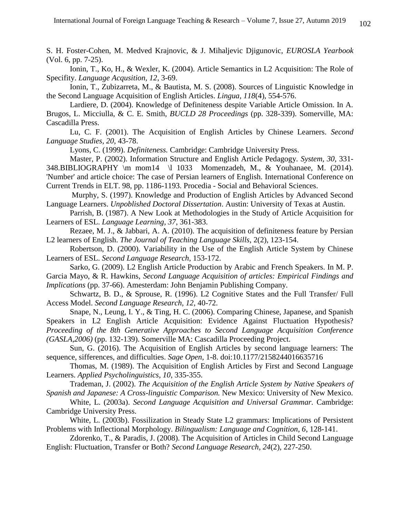S. H. Foster-Cohen, M. Medved Krajnovic, & J. Mihaljevic Djigunovic, *EUROSLA Yearbook* (Vol. 6, pp. 7-25).

Ionin, T., Ko, H., & Wexler, K. (2004). Article Semantics in L2 Acquisition: The Role of Specifity. *Language Acqusition, 12*, 3-69.

Ionin, T., Zubizarreta, M., & Bautista, M. S. (2008). Sources of Linguistic Knowledge in the Second Language Acquisition of English Articles. *Lingua, 118*(4), 554-576.

Lardiere, D. (2004). Knowledge of Definiteness despite Variable Article Omission. In A. Brugos, L. Micciulla, & C. E. Smith, *BUCLD 28 Proceedings* (pp. 328-339). Somerville, MA: Cascadilla Press.

Lu, C. F. (2001). The Acquisition of English Articles by Chinese Learners. *Second Language Studies, 20*, 43-78.

Lyons, C. (1999). *Definiteness.* Cambridge: Cambridge University Press.

Master, P. (2002). Information Structure and English Article Pedagogy. *System, 30*, 331- 348.BIBLIOGRAPHY \m mom14 \l 1033 Momenzadeh, M., & Youhanaee, M. (2014). 'Number' and article choice: The case of Persian learners of English. International Conference on Current Trends in ELT. 98, pp. 1186-1193. Procedia - Social and Behavioral Sciences.

Murphy, S. (1997). Knowledge and Production of English Articles by Advanced Second Language Learners. *Unpoblished Doctoral Dissertation*. Austin: University of Texas at Austin.

Parrish, B. (1987). A New Look at Methodologies in the Study of Article Acquisition for Learners of ESL. *Language Learning, 37*, 361-383.

Rezaee, M. J., & Jabbari, A. A. (2010). The acquisition of definiteness feature by Persian L2 learners of English. *The Journal of Teaching Language Skills*, 2(2), 123-154.

Robertson, D. (2000). Variability in the Use of the English Article System by Chinese Learners of ESL. *Second Language Research*, 153-172.

Sarko, G. (2009). L2 English Article Production by Arabic and French Speakers. In M. P. Garcia Mayo, & R. Hawkins, *Second Language Acquisition of articles: Empirical Findings and* 

*Implications* (pp. 37-66). Amesterdam: John Benjamin Publishing Company.

Schwartz, B. D., & Sprouse, R. (1996). L2 Cognitive States and the Full Transfer/ Full Access Model. *Second Language Research, 12*, 40-72.

Snape, N., Leung, I. Y., & Ting, H. C. (2006). Comparing Chinese, Japanese, and Spanish Speakers in L2 English Article Acquisition: Evidence Against Fluctuation Hypothesis? *Proceeding of the 8th Generative Approaches to Second Language Acquisition Conference (GASLA,2006)* (pp. 132-139). Somerville MA: Cascadilla Proceeding Project.

Sun, G. (2016). The Acquisition of English Articles by second language learners: The sequence, sifferences, and difficulties. *Sage Open*, 1-8. doi:10.1177/2158244016635716

Thomas, M. (1989). The Acquisition of English Articles by First and Second Language Learners. *Applied Psycholinguistics, 10*, 335-355.

Trademan, J. (2002). *The Acquisition of the English Article System by Native Speakers of Spanish and Japanese: A Cross-linguistic Comparison.* New Mexico: University of New Mexico.

White, L. (2003a). *Second Language Acquisition and Universal Grammar.* Cambridge: Cambridge University Press.

White, L. (2003b). Fossilization in Steady State L2 grammars: Implications of Persistent Problems with Inflectional Morphology. *Bilingualism: Language and Cognition, 6*, 128-141.

Zdorenko, T., & Paradis, J. (2008). The Acquisition of Articles in Child Second Language English: Fluctuation, Transfer or Both? *Second Language Research, 24*(2), 227-250.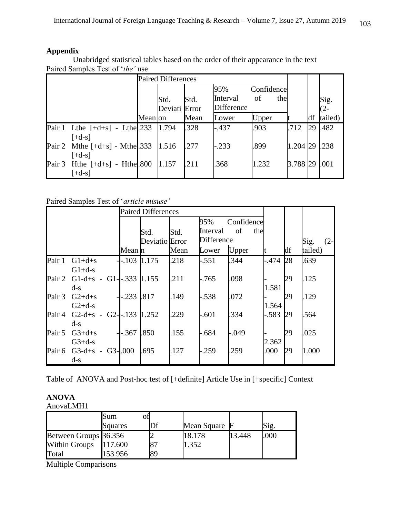# **Appendix**

Unabridged statistical tables based on the order of their appearance in the text Paired Samples Test of '*the'* use

|                                                           |         | <b>Paired Differences</b> |             |                               |                         |          |    |                |
|-----------------------------------------------------------|---------|---------------------------|-------------|-------------------------------|-------------------------|----------|----|----------------|
|                                                           |         | Std.<br>Deviati Error     | Std.        | 95%<br>Interval<br>Difference | Confidence<br>of<br>the |          |    | Sig.<br>$(2 -$ |
|                                                           | Mean on |                           | Mean        | Lower                         | Upper                   |          | df | tailed)        |
| Pair 1 Lthe $[+d+s]$ - Lthe 233<br>$[+d-s]$               |         | 1.794                     | .328        | $-.437$                       | .903                    | .712     | 29 | .482           |
| Pair 2 Mthe $[+d+s]$ - Mthe 333<br>$\lceil +d - s \rceil$ |         | 1.516                     | .277        | $-.233$                       | .899                    | 1.204 29 |    | .238           |
| Pair 3 Hthe $[+d+s]$ - Hthe 800<br>$\lceil +d - s \rceil$ |         | 1.157                     | <b>.211</b> | .368                          | 1.232                   | 3.788 29 |    | .001           |

Paired Samples Test of '*article misuse'*

|        |                                               |                 | <b>Paired Differences</b> |      |                               |                         |       |           |                |
|--------|-----------------------------------------------|-----------------|---------------------------|------|-------------------------------|-------------------------|-------|-----------|----------------|
|        |                                               |                 | Std.<br>Deviatio Error    | Std. | 95%<br>Interval<br>Difference | Confidence<br>of<br>the |       |           | Sig.<br>$(2 -$ |
|        |                                               | Mean n          |                           | Mean | Lower                         | <b>Upper</b>            |       | df        | tailed)        |
| Pair 1 | $G1+d+s$<br>$G1+d-s$                          | $-1.103$  1.175 |                           | .218 | -.551                         | .344                    | -.474 | 28        | .639           |
|        | Pair 2 $G1-d+s - G1-.333 \mid 1.155$<br>$d-s$ |                 |                           | .211 | -.765                         | .098                    | 1.581 | 29        | .125           |
| Pair 3 | $G2+d+s$<br>$G2+d-s$                          | $-.233$         | .817                      | .149 | -.538                         | .072                    | 1.564 | 29        | .129           |
|        | Pair 4 $G2-d+s - G2-l-133$  1.252<br>$d-s$    |                 |                           | .229 | $-.601$                       | .334                    | -.583 | <b>29</b> | .564           |
| Pair 5 | $G3+d+s$<br>$G3+d-s$                          | $-.367$         | .850                      | .155 | $-684$                        | -.049                   | 2.362 | 29        | .025           |
|        | Pair 6 $G3-d+s - G3-l.000$<br>$d-s$           |                 | .695                      | .127 | $-0.259$                      | .259                    | .000  | 29        | 1.000          |

Table of ANOVA and Post-hoc test of [+definite] Article Use in [+specific] Context

# **ANOVA**

AnovaLMH1

|                       | Sum<br>ОI |    |               |        |      |
|-----------------------|-----------|----|---------------|--------|------|
|                       | Squares   |    | Mean Square F |        | Sig. |
| Between Groups 36.356 |           |    | 18.178        | 13.448 | .000 |
| <b>Within Groups</b>  | 117.600   |    | 1.352         |        |      |
| Total                 | 153.956   | 89 |               |        |      |

Multiple Comparisons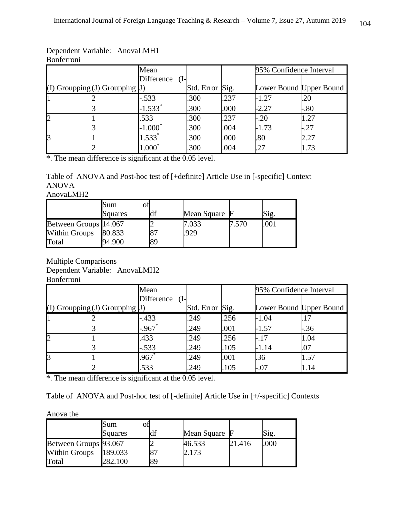|                                                | Mean                  |                 |      | 95% Confidence Interval |         |
|------------------------------------------------|-----------------------|-----------------|------|-------------------------|---------|
|                                                | Difference<br>$(1 -$  |                 |      |                         |         |
| (I) Groupping (J) Groupping $\boldsymbol{J}$ ) |                       | Std. Error Sig. |      | Lower Bound Upper Bound |         |
|                                                | $-.533$               | .300            | .237 | $-1.27$                 | .20     |
|                                                | $-1.533$ <sup>*</sup> | .300            | .000 | $-2.27$                 | $-0.80$ |
| $\overline{2}$                                 | .533                  | .300            | .237 | $-.20$                  | 1.27    |
|                                                | $-1.000$ <sup>*</sup> | .300            | .004 | $-1.73$                 | -.27    |
| 3                                              | $1.533$ <sup>*</sup>  | .300            | .000 | .80                     | 2.27    |
|                                                | $000*$                | .300            | .004 | 27                      | 1.73    |

# Dependent Variable: AnovaLMH1 Bonferroni

\*. The mean difference is significant at the 0.05 level.

Table of ANOVA and Post-hoc test of [+definite] Article Use in [-specific] Context ANOVA

AnovaLMH2

|                       | Sum<br>ΟĪ |    |               |       |      |
|-----------------------|-----------|----|---------------|-------|------|
|                       | Squares   | df | Mean Square F |       | Sig. |
| Between Groups 14.067 |           |    | 7.033         | 7.570 | .001 |
| <b>Within Groups</b>  | 80.833    | 87 | .929          |       |      |
| Total                 | 94.900    | 89 |               |       |      |

# Multiple Comparisons Dependent Variable: AnovaLMH2

Bonferroni

|                                 | Mean                 |                 |      | 95% Confidence Interval |        |
|---------------------------------|----------------------|-----------------|------|-------------------------|--------|
|                                 | Difference<br>$(I-$  |                 |      |                         |        |
| (I) Groupping (J) Groupping $J$ |                      | Std. Error Sig. |      | Lower Bound Upper Bound |        |
|                                 | $-0.433$<br>$-0.967$ | .249            | .256 | $-1.04$                 |        |
|                                 |                      | .249            | .001 | $-1.57$                 | $-.36$ |
| $\overline{c}$                  | .433                 | .249            | .256 | $-.17$                  | 1.04   |
|                                 | $-0.533$             | .249            | .105 | -1.14                   | .07    |
| 3                               | .967                 | .249            | .001 | .36                     |        |
|                                 | .533                 | .249            | .105 | $-.07$                  | 1.14   |

\*. The mean difference is significant at the 0.05 level.

Table of ANOVA and Post-hoc test of [-definite] Article Use in [+/-specific] Contexts

Anova the

|                       | Sum            |    |               |        |      |
|-----------------------|----------------|----|---------------|--------|------|
|                       | <b>Squares</b> |    | Mean Square F |        | Sig. |
| Between Groups 93.067 |                |    | 46.533        | 21.416 | .000 |
| <b>Within Groups</b>  | 189.033        |    | 2.173         |        |      |
| Total                 | າ໑າ            | QΟ |               |        |      |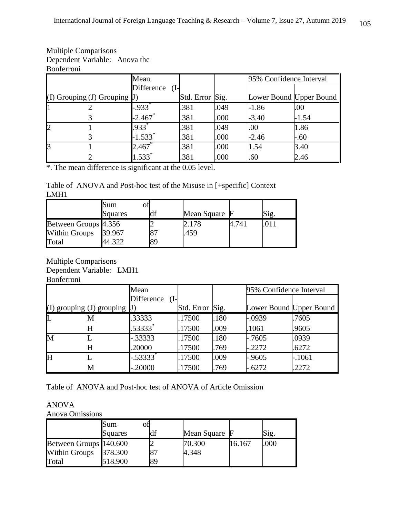# Multiple Comparisons Dependent Variable: Anova the Bonferroni

|                                       | Mean                  |                 |      | 95% Confidence Interval |         |
|---------------------------------------|-----------------------|-----------------|------|-------------------------|---------|
|                                       | Difference            |                 |      |                         |         |
| (I) Grouping (J) Grouping $ J\rangle$ |                       | Std. Error Sig. |      | Lower Bound Upper Bound |         |
|                                       | $-0.933$              | .381            | .049 | $-1.86$                 | .00     |
|                                       | $-2.467$              | .381            | .000 | $-3.40$                 | $-1.54$ |
| 12                                    | .933*                 | .381            | .049 | .00                     | 1.86    |
|                                       | $-1.533$ <sup>*</sup> | .381            | .000 | $-2.46$                 | $-.60$  |
|                                       | $2.467^{^{\circ}}$    | .381            | .000 | 1.54                    | 3.40    |
|                                       | $1.533*$              | .381            | .000 | .60                     | 2.46    |

\*. The mean difference is significant at the 0.05 level.

Table of ANOVA and Post-hoc test of the Misuse in [+specific] Context LMH1

|                      | Sum<br>ОI |    |               |                   |      |
|----------------------|-----------|----|---------------|-------------------|------|
|                      | Squares   | df | Mean Square F |                   | Sig. |
| Between Groups 4.356 |           |    |               | 4.74 <sub>1</sub> |      |
| Within Groups        | 39.967    | 87 | .459          |                   |      |
| Total                |           | 89 |               |                   |      |

## Multiple Comparisons Dependent Variable: LMH1 Bonferroni

|     |                               | Mean       |                 |      | 95% Confidence Interval |          |
|-----|-------------------------------|------------|-----------------|------|-------------------------|----------|
|     |                               | Difference |                 |      |                         |          |
| (I) | grouping $(J)$ grouping $J$ ) |            | Std. Error Sig. |      | Lower Bound Upper Bound |          |
| L   | M                             | .33333     | .17500          | .180 | $-.0939$                | .7605    |
|     | H                             | .53333*    | .17500          | .009 | .1061                   | .9605    |
| M   |                               | $-.33333$  | .17500          | .180 | $-.7605$                | .0939    |
|     | H                             | .20000     | .17500          | .769 | $-.2272$                | .6272    |
| Iн  |                               | $-.53333$  | .17500          | .009 | -.9605                  | $-.1061$ |
|     | M                             | $-0.20000$ | .17500          | .769 | $-.6272$                | .2272    |

Table of ANOVA and Post-hoc test of ANOVA of Article Omission

# ANOVA

Anova Omissions

|                        | Sum<br>ΟĪ |    |               |        |      |
|------------------------|-----------|----|---------------|--------|------|
|                        | Squares   |    | Mean Square F |        | Sig. |
| Between Groups 140.600 |           |    | 70.300        | 16.167 | .000 |
| <b>Within Groups</b>   | 378.300   |    | 4.348         |        |      |
| Total                  | 518.900   | 89 |               |        |      |